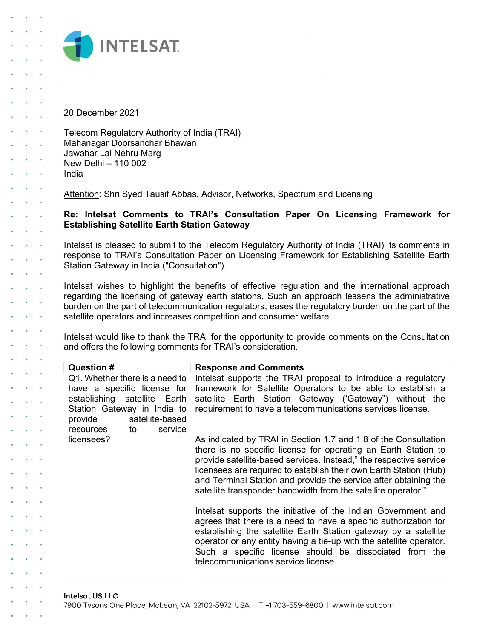

20 December 2021

**Carl Corp.** 

**Contract Contract** 

**Contract Contract** 

**Service**  $\alpha$  ,  $\beta$  ,  $\alpha$  Telecom Regulatory Authority of India (TRAI) Mahanagar Doorsanchar Bhawan Jawahar Lal Nehru Marg New Delhi – 110 002 India

Attention: Shri Syed Tausif Abbas, Advisor, Networks, Spectrum and Licensing

## Re: Intelsat Comments to TRAI's Consultation Paper On Licensing Framework for Establishing Satellite Earth Station Gateway

Intelsat is pleased to submit to the Telecom Regulatory Authority of India (TRAI) its comments in response to TRAI's Consultation Paper on Licensing Framework for Establishing Satellite Earth Station Gateway in India ("Consultation").

Intelsat wishes to highlight the benefits of effective regulation and the international approach regarding the licensing of gateway earth stations. Such an approach lessens the administrative burden on the part of telecommunication regulators, eases the regulatory burden on the part of the satellite operators and increases competition and consumer welfare.

Intelsat would like to thank the TRAI for the opportunity to provide comments on the Consultation and offers the following comments for TRAI's consideration.

| Question #                                                                                                                                                                           | <b>Response and Comments</b>                                                                                                                                                                                                                                                                                                                                                                                      |
|--------------------------------------------------------------------------------------------------------------------------------------------------------------------------------------|-------------------------------------------------------------------------------------------------------------------------------------------------------------------------------------------------------------------------------------------------------------------------------------------------------------------------------------------------------------------------------------------------------------------|
| Q1. Whether there is a need to  <br>have a specific license for<br>establishing satellite Earth<br>Station Gateway in India to<br>provide satellite-based<br>service<br>resources to | Intelsat supports the TRAI proposal to introduce a regulatory<br>framework for Satellite Operators to be able to establish a<br>satellite Earth Station Gateway ('Gateway") without the<br>requirement to have a telecommunications services license.                                                                                                                                                             |
| licensees?                                                                                                                                                                           | As indicated by TRAI in Section 1.7 and 1.8 of the Consultation<br>there is no specific license for operating an Earth Station to<br>provide satellite-based services. Instead," the respective service<br>licensees are required to establish their own Earth Station (Hub)<br>and Terminal Station and provide the service after obtaining the<br>satellite transponder bandwidth from the satellite operator." |
|                                                                                                                                                                                      | Intelsat supports the initiative of the Indian Government and<br>agrees that there is a need to have a specific authorization for<br>establishing the satellite Earth Station gateway by a satellite<br>operator or any entity having a tie-up with the satellite operator.<br>Such a specific license should be dissociated from the<br>telecommunications service license.                                      |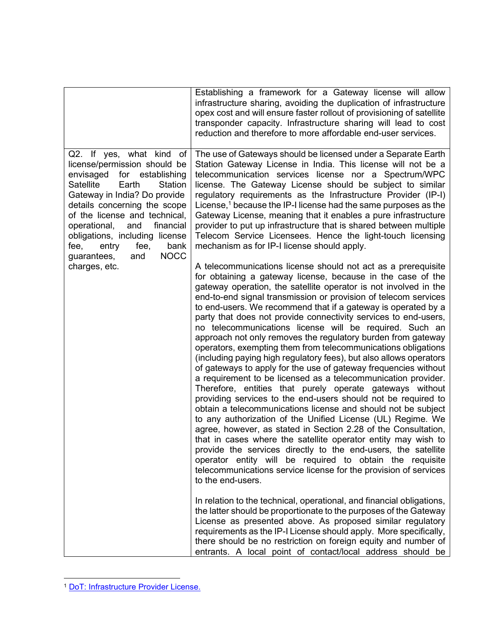|                                                                                                                                                                                                                                                                                                                                                                                | Establishing a framework for a Gateway license will allow<br>infrastructure sharing, avoiding the duplication of infrastructure<br>opex cost and will ensure faster rollout of provisioning of satellite<br>transponder capacity. Infrastructure sharing will lead to cost<br>reduction and therefore to more affordable end-user services.                                                                                                                                                                                                                                                                                                                                                                                                                                                                                                                                                                                                                                                                                                                                                                                                                                                                                                                                                                                                                                                                                                                                                                                                                                                                                                                                                                                                                                                                                                          |
|--------------------------------------------------------------------------------------------------------------------------------------------------------------------------------------------------------------------------------------------------------------------------------------------------------------------------------------------------------------------------------|------------------------------------------------------------------------------------------------------------------------------------------------------------------------------------------------------------------------------------------------------------------------------------------------------------------------------------------------------------------------------------------------------------------------------------------------------------------------------------------------------------------------------------------------------------------------------------------------------------------------------------------------------------------------------------------------------------------------------------------------------------------------------------------------------------------------------------------------------------------------------------------------------------------------------------------------------------------------------------------------------------------------------------------------------------------------------------------------------------------------------------------------------------------------------------------------------------------------------------------------------------------------------------------------------------------------------------------------------------------------------------------------------------------------------------------------------------------------------------------------------------------------------------------------------------------------------------------------------------------------------------------------------------------------------------------------------------------------------------------------------------------------------------------------------------------------------------------------------|
| Q2. If yes, what kind of<br>license/permission should be<br>envisaged<br>for establishing<br><b>Satellite</b><br>Earth<br>Station<br>Gateway in India? Do provide<br>details concerning the scope<br>of the license and technical,<br>financial<br>operational,<br>and<br>obligations, including license<br>entry<br>fee,<br>bank<br>fee,<br><b>NOCC</b><br>and<br>guarantees, | The use of Gateways should be licensed under a Separate Earth<br>Station Gateway License in India. This license will not be a<br>telecommunication services license nor a Spectrum/WPC<br>license. The Gateway License should be subject to similar<br>regulatory requirements as the Infrastructure Provider (IP-I)<br>License, $1$ because the IP-I license had the same purposes as the<br>Gateway License, meaning that it enables a pure infrastructure<br>provider to put up infrastructure that is shared between multiple<br>Telecom Service Licensees. Hence the light-touch licensing<br>mechanism as for IP-I license should apply.                                                                                                                                                                                                                                                                                                                                                                                                                                                                                                                                                                                                                                                                                                                                                                                                                                                                                                                                                                                                                                                                                                                                                                                                       |
| charges, etc.                                                                                                                                                                                                                                                                                                                                                                  | A telecommunications license should not act as a prerequisite<br>for obtaining a gateway license, because in the case of the<br>gateway operation, the satellite operator is not involved in the<br>end-to-end signal transmission or provision of telecom services<br>to end-users. We recommend that if a gateway is operated by a<br>party that does not provide connectivity services to end-users,<br>no telecommunications license will be required. Such an<br>approach not only removes the regulatory burden from gateway<br>operators, exempting them from telecommunications obligations<br>(including paying high regulatory fees), but also allows operators<br>of gateways to apply for the use of gateway frequencies without<br>a requirement to be licensed as a telecommunication provider.<br>Therefore, entities that purely operate gateways without<br>providing services to the end-users should not be required to<br>obtain a telecommunications license and should not be subject<br>to any authorization of the Unified License (UL) Regime. We<br>agree, however, as stated in Section 2.28 of the Consultation,<br>that in cases where the satellite operator entity may wish to<br>provide the services directly to the end-users, the satellite<br>operator entity will be required to obtain the requisite<br>telecommunications service license for the provision of services<br>to the end-users.<br>In relation to the technical, operational, and financial obligations,<br>the latter should be proportionate to the purposes of the Gateway<br>License as presented above. As proposed similar regulatory<br>requirements as the IP-I License should apply. More specifically,<br>there should be no restriction on foreign equity and number of<br>entrants. A local point of contact/local address should be |

<sup>1</sup> DoT: Infrastructure Provider License.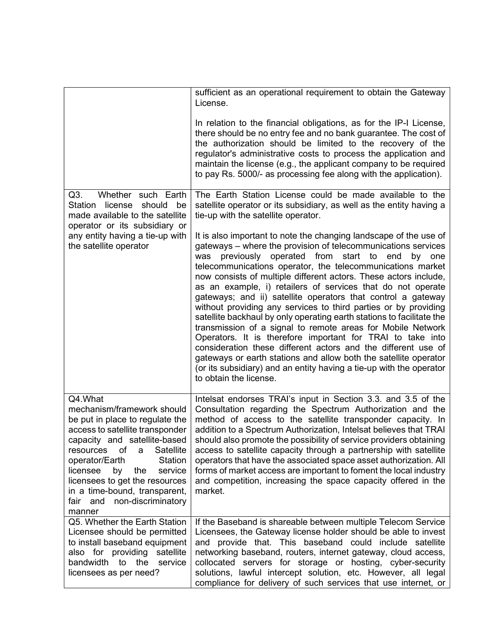|                                                                                                                                                                                                                                                                                                                                                                     | sufficient as an operational requirement to obtain the Gateway<br>License.                                                                                                                                                                                                                                                                                                                                                                                                                                                                                                                                                                                                                                                                                                                                                                                                                                                                                                                                                                                                                                                                              |
|---------------------------------------------------------------------------------------------------------------------------------------------------------------------------------------------------------------------------------------------------------------------------------------------------------------------------------------------------------------------|---------------------------------------------------------------------------------------------------------------------------------------------------------------------------------------------------------------------------------------------------------------------------------------------------------------------------------------------------------------------------------------------------------------------------------------------------------------------------------------------------------------------------------------------------------------------------------------------------------------------------------------------------------------------------------------------------------------------------------------------------------------------------------------------------------------------------------------------------------------------------------------------------------------------------------------------------------------------------------------------------------------------------------------------------------------------------------------------------------------------------------------------------------|
|                                                                                                                                                                                                                                                                                                                                                                     | In relation to the financial obligations, as for the IP-I License,<br>there should be no entry fee and no bank guarantee. The cost of<br>the authorization should be limited to the recovery of the<br>regulator's administrative costs to process the application and<br>maintain the license (e.g., the applicant company to be required<br>to pay Rs. 5000/- as processing fee along with the application).                                                                                                                                                                                                                                                                                                                                                                                                                                                                                                                                                                                                                                                                                                                                          |
| Q3.<br>Whether such Earth<br>Station<br>license<br>should<br>be<br>made available to the satellite<br>operator or its subsidiary or<br>any entity having a tie-up with<br>the satellite operator                                                                                                                                                                    | The Earth Station License could be made available to the<br>satellite operator or its subsidiary, as well as the entity having a<br>tie-up with the satellite operator.<br>It is also important to note the changing landscape of the use of<br>gateways – where the provision of telecommunications services<br>previously operated from start to end<br>by one<br>was<br>telecommunications operator, the telecommunications market<br>now consists of multiple different actors. These actors include,<br>as an example, i) retailers of services that do not operate<br>gateways; and ii) satellite operators that control a gateway<br>without providing any services to third parties or by providing<br>satellite backhaul by only operating earth stations to facilitate the<br>transmission of a signal to remote areas for Mobile Network<br>Operators. It is therefore important for TRAI to take into<br>consideration these different actors and the different use of<br>gateways or earth stations and allow both the satellite operator<br>(or its subsidiary) and an entity having a tie-up with the operator<br>to obtain the license. |
| Q4.What<br>mechanism/framework should<br>be put in place to regulate the<br>access to satellite transponder<br>capacity and satellite-based<br>of<br>Satellite<br>resources<br>a<br>operator/Earth<br>Station<br>licensee<br>by<br>the<br>service<br>licensees to get the resources<br>in a time-bound, transparent,<br>non-discriminatory<br>fair<br>and<br>manner | Intelsat endorses TRAI's input in Section 3.3. and 3.5 of the<br>Consultation regarding the Spectrum Authorization and the<br>method of access to the satellite transponder capacity. In<br>addition to a Spectrum Authorization, Intelsat believes that TRAI<br>should also promote the possibility of service providers obtaining<br>access to satellite capacity through a partnership with satellite<br>operators that have the associated space asset authorization. All<br>forms of market access are important to foment the local industry<br>and competition, increasing the space capacity offered in the<br>market.                                                                                                                                                                                                                                                                                                                                                                                                                                                                                                                          |
| Q5. Whether the Earth Station<br>Licensee should be permitted<br>to install baseband equipment<br>also for providing satellite<br>bandwidth to the<br>service<br>licensees as per need?                                                                                                                                                                             | If the Baseband is shareable between multiple Telecom Service<br>Licensees, the Gateway license holder should be able to invest<br>and provide that. This baseband could include satellite<br>networking baseband, routers, internet gateway, cloud access,<br>collocated servers for storage or hosting, cyber-security<br>solutions, lawful intercept solution, etc. However, all legal<br>compliance for delivery of such services that use internet, or                                                                                                                                                                                                                                                                                                                                                                                                                                                                                                                                                                                                                                                                                             |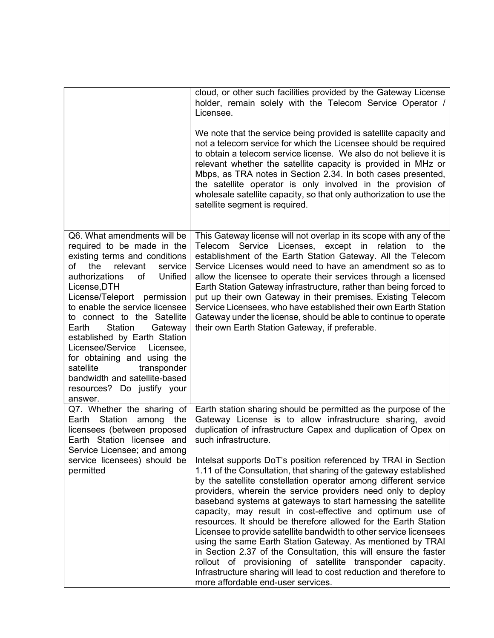|                                                                                                                                                                                                                                                                                                                                                                                                                                                                                                                        | cloud, or other such facilities provided by the Gateway License<br>holder, remain solely with the Telecom Service Operator /<br>Licensee.                                                                                                                                                                                                                                                                                                                                                                                                                                                                                                                                                                                                                                                                                                                   |
|------------------------------------------------------------------------------------------------------------------------------------------------------------------------------------------------------------------------------------------------------------------------------------------------------------------------------------------------------------------------------------------------------------------------------------------------------------------------------------------------------------------------|-------------------------------------------------------------------------------------------------------------------------------------------------------------------------------------------------------------------------------------------------------------------------------------------------------------------------------------------------------------------------------------------------------------------------------------------------------------------------------------------------------------------------------------------------------------------------------------------------------------------------------------------------------------------------------------------------------------------------------------------------------------------------------------------------------------------------------------------------------------|
|                                                                                                                                                                                                                                                                                                                                                                                                                                                                                                                        | We note that the service being provided is satellite capacity and<br>not a telecom service for which the Licensee should be required<br>to obtain a telecom service license. We also do not believe it is<br>relevant whether the satellite capacity is provided in MHz or<br>Mbps, as TRA notes in Section 2.34. In both cases presented,<br>the satellite operator is only involved in the provision of<br>wholesale satellite capacity, so that only authorization to use the<br>satellite segment is required.                                                                                                                                                                                                                                                                                                                                          |
| Q6. What amendments will be<br>required to be made in the<br>existing terms and conditions<br>the<br>relevant<br>service<br>οf<br>Unified<br>authorizations<br>of<br>License, DTH<br>License/Teleport permission<br>to enable the service licensee<br>to connect to the Satellite<br>Station<br>Gateway<br>Earth<br>established by Earth Station<br>Licensee/Service<br>Licensee,<br>for obtaining and using the<br>satellite<br>transponder<br>bandwidth and satellite-based<br>resources? Do justify your<br>answer. | This Gateway license will not overlap in its scope with any of the<br>Telecom Service Licenses, except in relation to the<br>establishment of the Earth Station Gateway. All the Telecom<br>Service Licenses would need to have an amendment so as to<br>allow the licensee to operate their services through a licensed<br>Earth Station Gateway infrastructure, rather than being forced to<br>put up their own Gateway in their premises. Existing Telecom<br>Service Licensees, who have established their own Earth Station<br>Gateway under the license, should be able to continue to operate<br>their own Earth Station Gateway, if preferable.                                                                                                                                                                                                     |
| Q7. Whether the sharing of<br>Earth Station among the<br>licensees (between proposed<br>Earth Station licensee and<br>Service Licensee; and among                                                                                                                                                                                                                                                                                                                                                                      | Earth station sharing should be permitted as the purpose of the<br>Gateway License is to allow infrastructure sharing, avoid<br>duplication of infrastructure Capex and duplication of Opex on<br>such infrastructure.                                                                                                                                                                                                                                                                                                                                                                                                                                                                                                                                                                                                                                      |
| service licensees) should be<br>permitted                                                                                                                                                                                                                                                                                                                                                                                                                                                                              | Intelsat supports DoT's position referenced by TRAI in Section<br>1.11 of the Consultation, that sharing of the gateway established<br>by the satellite constellation operator among different service<br>providers, wherein the service providers need only to deploy<br>baseband systems at gateways to start harnessing the satellite<br>capacity, may result in cost-effective and optimum use of<br>resources. It should be therefore allowed for the Earth Station<br>Licensee to provide satellite bandwidth to other service licensees<br>using the same Earth Station Gateway. As mentioned by TRAI<br>in Section 2.37 of the Consultation, this will ensure the faster<br>rollout of provisioning of satellite transponder capacity.<br>Infrastructure sharing will lead to cost reduction and therefore to<br>more affordable end-user services. |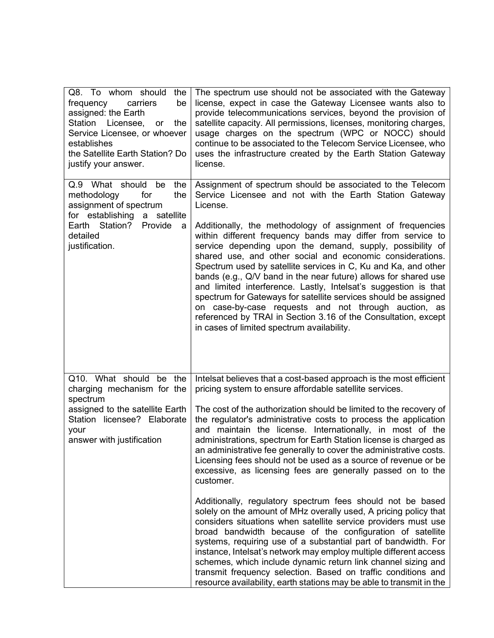| Q8. To whom should<br>the<br>frequency<br>carriers<br>be<br>assigned: the Earth<br>Station Licensee,<br>the<br><b>or</b><br>Service Licensee, or whoever<br>establishes<br>the Satellite Earth Station? Do<br>justify your answer. | The spectrum use should not be associated with the Gateway<br>license, expect in case the Gateway Licensee wants also to<br>provide telecommunications services, beyond the provision of<br>satellite capacity. All permissions, licenses, monitoring charges,<br>usage charges on the spectrum (WPC or NOCC) should<br>continue to be associated to the Telecom Service Licensee, who<br>uses the infrastructure created by the Earth Station Gateway<br>license.                                                                                                                                                                                                                                                                                                                                                                          |
|------------------------------------------------------------------------------------------------------------------------------------------------------------------------------------------------------------------------------------|---------------------------------------------------------------------------------------------------------------------------------------------------------------------------------------------------------------------------------------------------------------------------------------------------------------------------------------------------------------------------------------------------------------------------------------------------------------------------------------------------------------------------------------------------------------------------------------------------------------------------------------------------------------------------------------------------------------------------------------------------------------------------------------------------------------------------------------------|
| Q.9 What should<br>be<br>the<br>for<br>the<br>methodology<br>assignment of spectrum<br>for establishing<br>a satellite<br>Earth Station?<br>Provide<br>a<br>detailed<br>justification.                                             | Assignment of spectrum should be associated to the Telecom<br>Service Licensee and not with the Earth Station Gateway<br>License.<br>Additionally, the methodology of assignment of frequencies<br>within different frequency bands may differ from service to<br>service depending upon the demand, supply, possibility of<br>shared use, and other social and economic considerations.<br>Spectrum used by satellite services in C, Ku and Ka, and other<br>bands (e.g., Q/V band in the near future) allows for shared use<br>and limited interference. Lastly, Intelsat's suggestion is that<br>spectrum for Gateways for satellite services should be assigned<br>on case-by-case requests and not through auction, as<br>referenced by TRAI in Section 3.16 of the Consultation, except<br>in cases of limited spectrum availability. |
| Q10. What should<br>the<br>be<br>charging mechanism for the<br>spectrum<br>assigned to the satellite Earth<br>Station licensee? Elaborate<br>your<br>answer with justification                                                     | Intelsat believes that a cost-based approach is the most efficient<br>pricing system to ensure affordable satellite services.<br>The cost of the authorization should be limited to the recovery of<br>the regulator's administrative costs to process the application<br>and maintain the license. Internationally, in most of the<br>administrations, spectrum for Earth Station license is charged as<br>an administrative fee generally to cover the administrative costs.<br>Licensing fees should not be used as a source of revenue or be<br>excessive, as licensing fees are generally passed on to the<br>customer.                                                                                                                                                                                                                |
|                                                                                                                                                                                                                                    | Additionally, regulatory spectrum fees should not be based<br>solely on the amount of MHz overally used, A pricing policy that<br>considers situations when satellite service providers must use<br>broad bandwidth because of the configuration of satellite<br>systems, requiring use of a substantial part of bandwidth. For<br>instance, Intelsat's network may employ multiple different access<br>schemes, which include dynamic return link channel sizing and<br>transmit frequency selection. Based on traffic conditions and<br>resource availability, earth stations may be able to transmit in the                                                                                                                                                                                                                              |